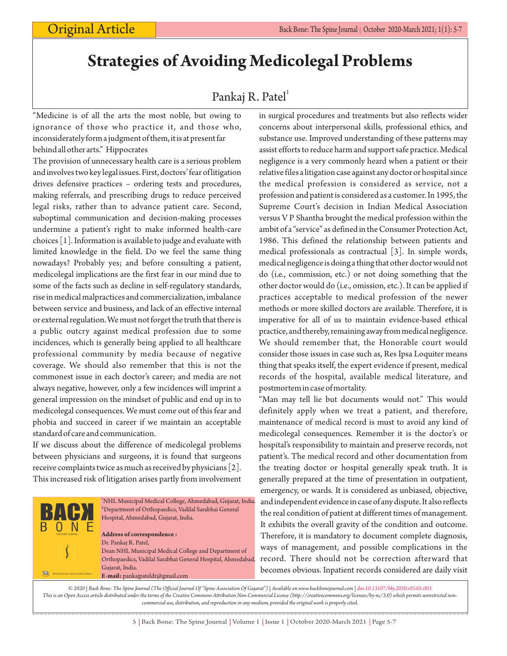# **Strategies of Avoiding Medicolegal Problems**

## Pankaj R. Patel<sup>1</sup>

"Medicine is of all the arts the most noble, but owing to ignorance of those who practice it, and those who, inconsiderately form a judgment of them, it is at present far behind all other arts." Hippocrates

The provision of unnecessary health care is a serious problem and involves two key legal issues. First, doctors' fear of litigation drives defensive practices – ordering tests and procedures, making referrals, and prescribing drugs to reduce perceived legal risks, rather than to advance patient care. Second, suboptimal communication and decision-making processes undermine a patient's right to make informed health-care choices [1]. Information is available to judge and evaluate with limited knowledge in the field. Do we feel the same thing nowadays? Probably yes; and before consulting a patient, medicolegal implications are the first fear in our mind due to some of the facts such as decline in self-regulatory standards, rise in medical malpractices and commercialization, imbalance between service and business, and lack of an effective internal or external regulation. We must not forget the truth that there is a public outcry against medical profession due to some incidences, which is generally being applied to all healthcare professional community by media because of negative coverage. We should also remember that this is not the commonest issue in each doctor's career; and media are not always negative, however, only a few incidences will imprint a general impression on the mindset of public and end up in to medicolegal consequences. We must come out of this fear and phobia and succeed in career if we maintain an acceptable standard of care and communication.

If we discuss about the difference of medicolegal problems between physicians and surgeons, it is found that surgeons receive complaints twice as much as received by physicians [2]. This increased risk of litigation arises partly from involvement



in surgical procedures and treatments but also reflects wider concerns about interpersonal skills, professional ethics, and substance use. Improved understanding of these patterns may assist efforts to reduce harm and support safe practice. Medical negligence is a very commonly heard when a patient or their relative files a litigation case against any doctor or hospital since the medical profession is considered as service, not a profession and patient is considered as a customer. In 1995, the Supreme Court's decision in Indian Medical Association versus V P Shantha brought the medical profession within the ambit of a "service" as defined in the Consumer Protection Act, 1986. This defined the relationship between patients and medical professionals as contractual [3]. In simple words, medical negligence is doing a thing that other doctor would not do (i.e., commission, etc.) or not doing something that the other doctor would do (i.e., omission, etc.). It can be applied if practices acceptable to medical profession of the newer methods or more skilled doctors are available. Therefore, it is imperative for all of us to maintain evidence-based ethical practice, and thereby, remaining away from medical negligence. We should remember that, the Honorable court would consider those issues in case such as, Res Ipsa Loquiter means thing that speaks itself, the expert evidence if present, medical records of the hospital, available medical literature, and postmortem in case of mortality.

"Man may tell lie but documents would not." This would definitely apply when we treat a patient, and therefore, maintenance of medical record is must to avoid any kind of medicolegal consequences. Remember it is the doctor's or hospital's responsibility to maintain and preserve records, not patient's. The medical record and other documentation from the treating doctor or hospital generally speak truth. It is generally prepared at the time of presentation in outpatient, emergency, or wards. It is considered as unbiased, objective, and independent evidence in case of any dispute. It also reflects the real condition of patient at different times of management. It exhibits the overall gravity of the condition and outcome. Therefore, it is mandatory to document complete diagnosis, ways of management, and possible complications in the record. There should not be correction afterward that becomes obvious. Inpatient records considered are daily visit

*© 2020 | Back Bone: The Spine Journal (The Official Journal Of "Spine Association Of Gujarat") | Available on www.backbonejournal.com | doi:10.13107/bbj.2020.v01i01.003 This is an Open Access article distributed under the terms of the Creative Commons Attribution Non-Commercial License (http://creativecommons.org/licenses/by-nc/3.0) which permits unrestricted noncommercial use, distribution, and reproduction in any medium, provided the original work is properly cited.*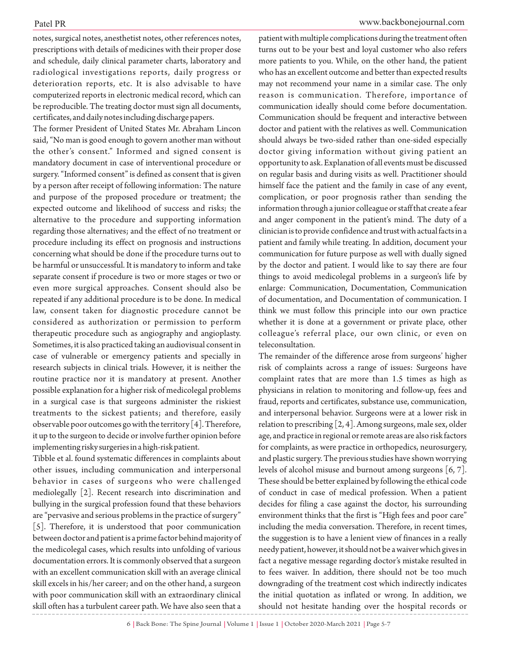notes, surgical notes, anesthetist notes, other references notes, prescriptions with details of medicines with their proper dose and schedule, daily clinical parameter charts, laboratory and radiological investigations reports, daily progress or deterioration reports, etc. It is also advisable to have computerized reports in electronic medical record, which can be reproducible. The treating doctor must sign all documents, certificates, and daily notes including discharge papers.

The former President of United States Mr. Abraham Lincon said, "No man is good enough to govern another man without the other's consent." Informed and signed consent is mandatory document in case of interventional procedure or surgery."Informed consent" is defined as consent that is given by a person after receipt of following information: The nature and purpose of the proposed procedure or treatment; the expected outcome and likelihood of success and risks; the alternative to the procedure and supporting information regarding those alternatives; and the effect of no treatment or procedure including its effect on prognosis and instructions concerning what should be done if the procedure turns out to be harmful or unsuccessful. It is mandatory to inform and take separate consent if procedure is two or more stages or two or even more surgical approaches. Consent should also be repeated if any additional procedure is to be done. In medical law, consent taken for diagnostic procedure cannot be considered as authorization or permission to perform therapeutic procedure such as angiography and angioplasty. Sometimes, it is also practiced taking an audiovisual consent in case of vulnerable or emergency patients and specially in research subjects in clinical trials. However, it is neither the routine practice nor it is mandatory at present. Another possible explanation for a higher risk of medicolegal problems in a surgical case is that surgeons administer the riskiest treatments to the sickest patients; and therefore, easily observable poor outcomes go with the territory [4]. Therefore, it up to the surgeon to decide or involve further opinion before implementing risky surgeries in a high-risk patient.

Tibble et al. found systematic differences in complaints about other issues, including communication and interpersonal behavior in cases of surgeons who were challenged mediolegally [2]. Recent research into discrimination and bullying in the surgical profession found that these behaviors are "pervasive and serious problems in the practice of surgery" [5]. Therefore, it is understood that poor communication between doctor and patient is a prime factor behind majority of the medicolegal cases, which results into unfolding of various documentation errors. It is commonly observed that a surgeon with an excellent communication skill with an average clinical skill excels in his/her career; and on the other hand, a surgeon with poor communication skill with an extraordinary clinical skill often has a turbulent career path. We have also seen that a

### Patel PR www.backbonejournal.com

patient with multiple complications during the treatment often turns out to be your best and loyal customer who also refers more patients to you. While, on the other hand, the patient who has an excellent outcome and better than expected results may not recommend your name in a similar case. The only reason is communication. Therefore, importance of communication ideally should come before documentation. Communication should be frequent and interactive between doctor and patient with the relatives as well. Communication should always be two-sided rather than one-sided especially doctor giving information without giving patient an opportunity to ask. Explanation of all events must be discussed on regular basis and during visits as well. Practitioner should himself face the patient and the family in case of any event, complication, or poor prognosis rather than sending the information through a junior colleague or staff that create a fear and anger component in the patient's mind. The duty of a clinician is to provide confidence and trust with actual facts in a patient and family while treating. In addition, document your communication for future purpose as well with dually signed by the doctor and patient. I would like to say there are four things to avoid medicolegal problems in a surgeon's life by enlarge: Communication, Documentation, Communication of documentation, and Documentation of communication. I think we must follow this principle into our own practice whether it is done at a government or private place, other colleague's referral place, our own clinic, or even on teleconsultation.

The remainder of the difference arose from surgeons' higher risk of complaints across a range of issues: Surgeons have complaint rates that are more than 1.5 times as high as physicians in relation to monitoring and follow-up, fees and fraud, reports and certificates, substance use, communication, and interpersonal behavior. Surgeons were at a lower risk in relation to prescribing [2, 4]. Among surgeons, male sex, older age, and practice in regional or remote areas are also risk factors for complaints, as were practice in orthopedics, neurosurgery, and plastic surgery. The previous studies have shown worrying levels of alcohol misuse and burnout among surgeons [6, 7]. These should be better explained by following the ethical code of conduct in case of medical profession. When a patient decides for filing a case against the doctor, his surrounding environment thinks that the first is "High fees and poor care" including the media conversation. Therefore, in recent times, the suggestion is to have a lenient view of finances in a really needy patient, however, it should not be a waiver which gives in fact a negative message regarding doctor's mistake resulted in to fees waiver. In addition, there should not be too much downgrading of the treatment cost which indirectly indicates the initial quotation as inflated or wrong. In addition, we should not hesitate handing over the hospital records or